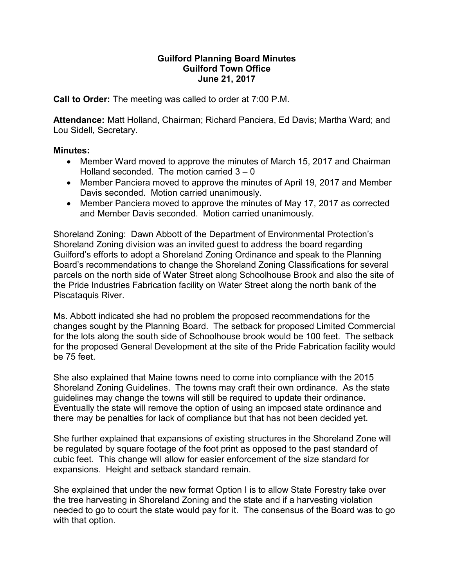## Guilford Planning Board Minutes Guilford Town Office June 21, 2017

Call to Order: The meeting was called to order at 7:00 P.M.

Attendance: Matt Holland, Chairman; Richard Panciera, Ed Davis; Martha Ward; and Lou Sidell, Secretary.

## Minutes:

- Member Ward moved to approve the minutes of March 15, 2017 and Chairman Holland seconded. The motion carried 3 – 0
- Member Panciera moved to approve the minutes of April 19, 2017 and Member Davis seconded. Motion carried unanimously.
- Member Panciera moved to approve the minutes of May 17, 2017 as corrected and Member Davis seconded. Motion carried unanimously.

Shoreland Zoning: Dawn Abbott of the Department of Environmental Protection's Shoreland Zoning division was an invited guest to address the board regarding Guilford's efforts to adopt a Shoreland Zoning Ordinance and speak to the Planning Board's recommendations to change the Shoreland Zoning Classifications for several parcels on the north side of Water Street along Schoolhouse Brook and also the site of the Pride Industries Fabrication facility on Water Street along the north bank of the Piscataquis River.

Ms. Abbott indicated she had no problem the proposed recommendations for the changes sought by the Planning Board. The setback for proposed Limited Commercial for the lots along the south side of Schoolhouse brook would be 100 feet. The setback for the proposed General Development at the site of the Pride Fabrication facility would be 75 feet.

She also explained that Maine towns need to come into compliance with the 2015 Shoreland Zoning Guidelines. The towns may craft their own ordinance. As the state guidelines may change the towns will still be required to update their ordinance. Eventually the state will remove the option of using an imposed state ordinance and there may be penalties for lack of compliance but that has not been decided yet.

She further explained that expansions of existing structures in the Shoreland Zone will be regulated by square footage of the foot print as opposed to the past standard of cubic feet. This change will allow for easier enforcement of the size standard for expansions. Height and setback standard remain.

She explained that under the new format Option I is to allow State Forestry take over the tree harvesting in Shoreland Zoning and the state and if a harvesting violation needed to go to court the state would pay for it. The consensus of the Board was to go with that option.